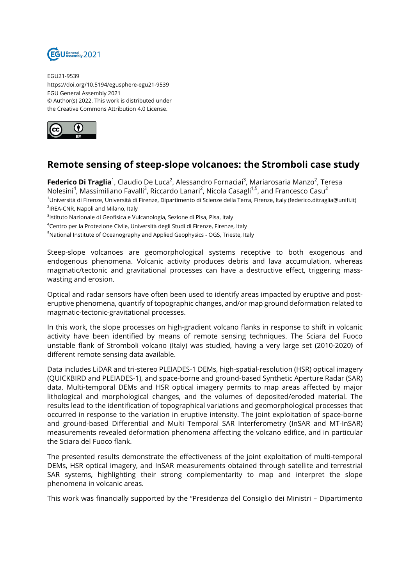

EGU21-9539 https://doi.org/10.5194/egusphere-egu21-9539 EGU General Assembly 2021 © Author(s) 2022. This work is distributed under the Creative Commons Attribution 4.0 License.



## **Remote sensing of steep-slope volcanoes: the Stromboli case study**

**Federico Di Traglia**<sup>1</sup>, Claudio De Luca<sup>2</sup>, Alessandro Fornaciai<sup>3</sup>, Mariarosaria Manzo<sup>2</sup>, Teresa Nolesini<sup>4</sup>, Massimiliano Favalli<sup>3</sup>, Riccardo Lanari<sup>2</sup>, Nicola Casagli<sup>1,5</sup>, and Francesco Casu<sup>2</sup> <sup>1</sup>Università di Firenze, Università di Firenze, Dipartimento di Scienze della Terra, Firenze, Italy (federico.ditraglia@unifi.it) <sup>2</sup>IREA-CNR, Napoli and Milano, Italy

<sup>3</sup>lstituto Nazionale di Geofisica e Vulcanologia, Sezione di Pisa, Pisa, Italy

<sup>4</sup>Centro per la Protezione Civile, Università degli Studi di Firenze, Firenze, Italy

<sup>5</sup>National Institute of Oceanography and Applied Geophysics - OGS, Trieste, Italy

Steep-slope volcanoes are geomorphological systems receptive to both exogenous and endogenous phenomena. Volcanic activity produces debris and lava accumulation, whereas magmatic/tectonic and gravitational processes can have a destructive effect, triggering masswasting and erosion.

Optical and radar sensors have often been used to identify areas impacted by eruptive and posteruptive phenomena, quantify of topographic changes, and/or map ground deformation related to magmatic-tectonic-gravitational processes.

In this work, the slope processes on high-gradient volcano flanks in response to shift in volcanic activity have been identified by means of remote sensing techniques. The Sciara del Fuoco unstable flank of Stromboli volcano (Italy) was studied, having a very large set (2010-2020) of different remote sensing data available.

Data includes LiDAR and tri-stereo PLEIADES-1 DEMs, high-spatial-resolution (HSR) optical imagery (QUICKBIRD and PLEIADES-1), and space-borne and ground-based Synthetic Aperture Radar (SAR) data. Multi-temporal DEMs and HSR optical imagery permits to map areas affected by major lithological and morphological changes, and the volumes of deposited/eroded material. The results lead to the identification of topographical variations and geomorphological processes that occurred in response to the variation in eruptive intensity. The joint exploitation of space-borne and ground-based Differential and Multi Temporal SAR Interferometry (InSAR and MT-InSAR) measurements revealed deformation phenomena affecting the volcano edifice, and in particular the Sciara del Fuoco flank.

The presented results demonstrate the effectiveness of the joint exploitation of multi-temporal DEMs, HSR optical imagery, and InSAR measurements obtained through satellite and terrestrial SAR systems, highlighting their strong complementarity to map and interpret the slope phenomena in volcanic areas.

This work was financially supported by the "Presidenza del Consiglio dei Ministri – Dipartimento